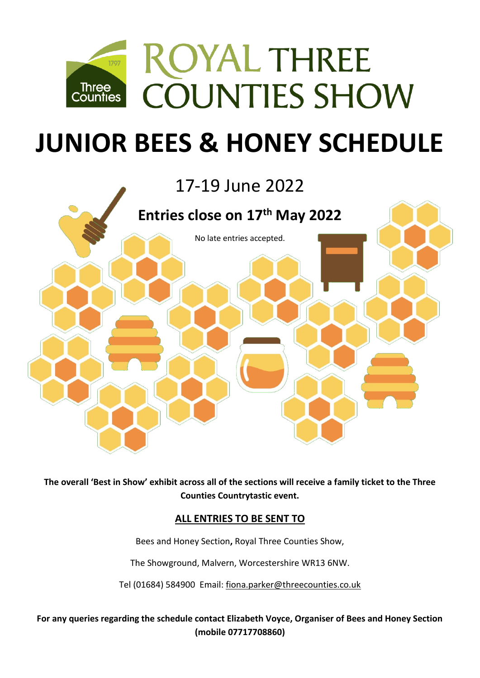

# **JUNIOR BEES & HONEY SCHEDULE**

## 17-19 June 2022



**The overall 'Best in Show' exhibit across all of the sections will receive a family ticket to the Three Counties Countrytastic event.** 

## **ALL ENTRIES TO BE SENT TO**

Bees and Honey Section**,** Royal Three Counties Show,

The Showground, Malvern, Worcestershire WR13 6NW.

Tel (01684) 584900 Email: [fiona.parker@threecounties.co.uk](mailto:fiona.parker@threecounties.co.uk)

**For any queries regarding the schedule contact Elizabeth Voyce, Organiser of Bees and Honey Section (mobile 07717708860)**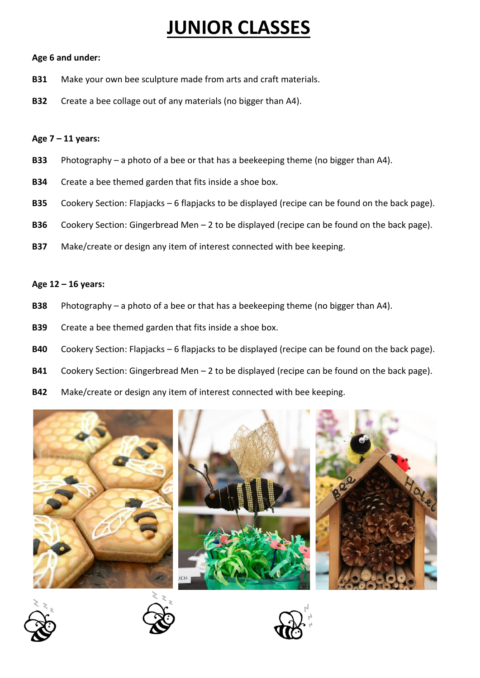## **JUNIOR CLASSES**

## **Age 6 and under:**

- **B31** Make your own bee sculpture made from arts and craft materials.
- **B32** Create a bee collage out of any materials (no bigger than A4).

## **Age 7 – 11 years:**

- **B33** Photography a photo of a bee or that has a beekeeping theme (no bigger than A4).
- **B34** Create a bee themed garden that fits inside a shoe box.
- **B35** Cookery Section: Flapjacks 6 flapjacks to be displayed (recipe can be found on the back page).
- **B36** Cookery Section: Gingerbread Men 2 to be displayed (recipe can be found on the back page).
- **B37** Make/create or design any item of interest connected with bee keeping.

## **Age 12 – 16 years:**

- **B38** Photography a photo of a bee or that has a beekeeping theme (no bigger than A4).
- **B39** Create a bee themed garden that fits inside a shoe box.
- **B40** Cookery Section: Flapjacks 6 flapjacks to be displayed (recipe can be found on the back page).
- **B41** Cookery Section: Gingerbread Men 2 to be displayed (recipe can be found on the back page).
- **B42** Make/create or design any item of interest connected with bee keeping.